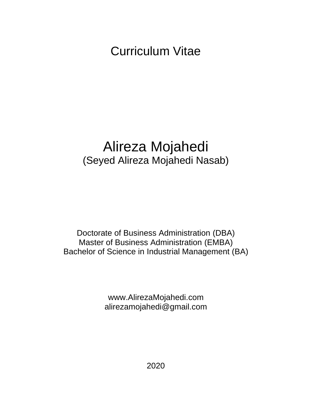Curriculum Vitae

# Alireza Mojahedi (Seyed Alireza Mojahedi Nasab)

Doctorate of Business Administration (DBA) Master of Business Administration (EMBA) Bachelor of Science in Industrial Management (BA)

> www.AlirezaMojahedi.com alirezamojahedi@gmail.com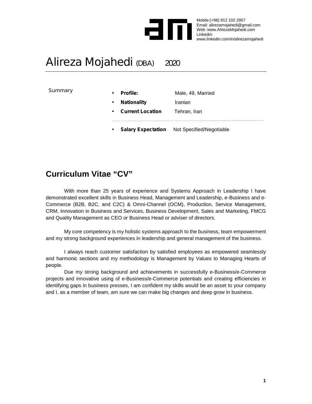

Male, 49, Married

Mobile:(+98) 912 102 2857 Email: alirezamojahedi@gmail.com Web :www.AlirezaMojahedi.com Linkedin: www.linkedin.com/in/alirezamojahedi

## Alireza Mojahedi (DBA) 2020

**Summary** 

| <b>Profile:</b> |
|-----------------|
|-----------------|

- **Nationality Iranian**
- *Current Location* Tehran, Iran
- *Salary Expectation* Not Specified/Negotiable

## **Curriculum Vitae "CV"**

With more than 25 years of experience and Systems Approach in Leadership I have demonstrated excellent skills in Business Head, Management and Leadership, e-Business and e- Commerce (B2B, B2C, and C2C) & Omni-Channel (OCM), Production, Service Management, CRM, Innovation in Business and Services, Business Development, Sales and Marketing, FMCG and Quality Management as CEO or Business Head or adviser of directors.

My core competency is my holistic systems approach to the business, team empowerment and my strong background experiences in leadership and general management of the business.

I always reach customer satisfaction by satisfied employees as empowered seamlessly and harmonic sections and my methodology is Management by Values to Managing Hearts of people.

Due my strong background and achievements in successfully e-Business/e-Commerce projects and innovative using of e-Business/e-Commerce potentials and creating efficiencies in identifying gaps in business presses, I am confident my skills would be an asset to your company and I, as a member of team, am sure we can make big changes and deep grow in business.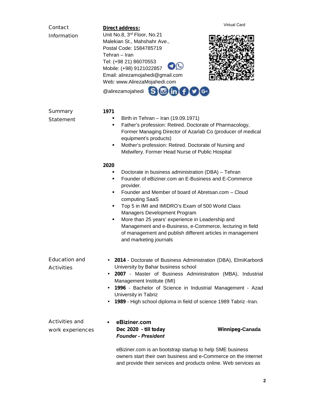| Contact<br>Information             | <b>Virtual Card</b><br>Direct address:<br>Unit No.8, 3rd Floor, No.21<br>Malekian St., Mahshahr Ave.,<br>Postal Code: 1584785719<br>Tehran - Iran<br>Tel: (+98 21) 86070553<br>Mobile: (+98) 9121022857<br>Email: alirezamojahedi@gmail.com<br>Web: www.AlirezaMojahedi.com                                                                                                                                                                                                                                                      |
|------------------------------------|----------------------------------------------------------------------------------------------------------------------------------------------------------------------------------------------------------------------------------------------------------------------------------------------------------------------------------------------------------------------------------------------------------------------------------------------------------------------------------------------------------------------------------|
|                                    | $\bigcirc$ (in (f) $\bigcirc$ (c)<br>@alirezamojahedi                                                                                                                                                                                                                                                                                                                                                                                                                                                                            |
| Summary<br>Statement               | 1971<br>Birth in Tehran - Iran (19.09.1971)<br>٠<br>Father's profession: Retired. Doctorate of Pharmacology,<br>٠<br>Former Managing Director of Azarlab Co (producer of medical<br>equipment's products)<br>Mother's profession: Retired. Doctorate of Nursing and<br>٠<br>Midwifery. Former Head Nurse of Public Hospital                                                                                                                                                                                                      |
|                                    | 2020<br>Doctorate in business administration (DBA) - Tehran<br>٠<br>Founder of eBiziner.com an E-Business and E-Commerce<br>٠<br>provider.<br>Founder and Member of board of Abretsan.com – Cloud<br>٠<br>computing SaaS<br>Top 5 in IMI and IMIDRO's Exam of 500 World Class<br>٠<br>Managers Development Program<br>More than 25 years' experience in Leadership and<br>٠<br>Management and e-Business, e-Commerce, lecturing in field<br>of management and publish different articles in management<br>and marketing journals |
| Education and<br>Activities        | 2014 - Doctorate of Business Administration (DBA), ElmiKarbordi<br>University by Bahar business school<br>2007 - Master of Business Administration (MBA), Industrial<br>$\bullet$<br>Management Institute (IMI)<br>1996 - Bachelor of Science in Industrial Management - Azad<br>٠<br>University in Tabriz<br>1989 - High school diploma in field of science 1989 Tabriz - Iran.<br>$\bullet$                                                                                                                                    |
| Activities and<br>work experiences | eBiziner.com<br>٠<br>Dec 2020 - till today<br>Winnipeg-Canada<br><b>Founder - President</b><br>eBiziner.com is an bootstrap startup to help SME business<br>owners start their own business and e-Commerce on the internet<br>and provide their services and products online. Web services as                                                                                                                                                                                                                                    |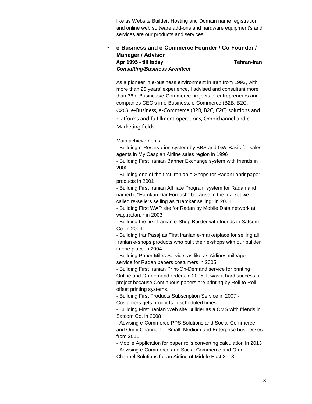like as Website Builder, Hosting and Domain name registration and online web software add-ons and hardware equipment's and services are our products and services.

### **e-Business and e-Commerce Founder / Co-Founder / Manager / Advisor** *Apr 1995 - till today* **Tehran-Iran** *Consulting/Business Architect*

As a pioneer in e-business environment in Iran from 1993, with more than 25 years' experience, I advised and consultant more than 36 e-Business/e-Commerce projects of entrepreneurs and companies CEO's in e-Business, e-Commerce (B2B, B2C, C2C) e-Business, e-Commerce (B2B, B2C, C2C) solutions and platforms and fulfillment operations, Omnichannel and e- Marketing fields.

Main achievements:

- Building e-Reservation system by BBS and GW-Basic for sales agents in My Caspian Airline sales region in 1996

- Building First Iranian Banner Exchange system with friends in 2000

- Building one of the first Iranian e-Shops for RadanTahrir paper products in 2001

- Building First Iranian Affiliate Program system for Radan and named it "Hamkari Dar Foroush" because in the market we called re-sellers selling as "Hamkar selling" in 2001

- Building First WAP site for Radan by Mobile Data network at wap.radan.ir in 2003

- Building the first Iranian e-Shop Builder with friends in Satcom Co. in 2004

- Building IranPasaj as First Iranian e-marketplace for selling all Iranian e-shops products who built their e-shops with our builder in one place in 2004

- Building Paper Miles Service! as like as Airlines mileage service for Radan papers costumers in 2005

- Building First Iranian Print-On-Demand service for printing Online and On-demand orders in 2005. It was a hard successful project because Continuous papers are printing by Roll to Roll offset printing systems.

- Building First Products Subscription Service in 2007 -

Costumers gets products in scheduled times

- Building First Iranian Web site Builder as a CMS with friends in Satcom Co. in 2008

- Advising e-Commerce PPS Solutions and Social Commerce and Omni Channel for Small, Medium and Enterprise businesses from 2011

- Mobile Application for paper rolls converting calculation in 2013

- Advising e-Commerce and Social Commerce and Omni

Channel Solutions for an Airline of Middle East 2018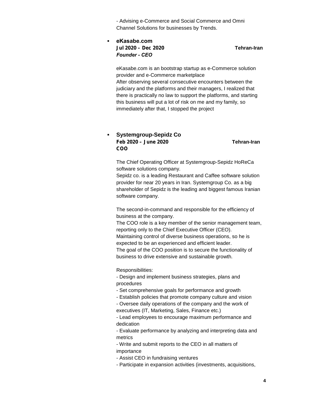- Advising e-Commerce and Social Commerce and Omni Channel Solutions for businesses by Trends.

 **eKasabe.com** *Jul 2020 – Dec 2020* **Tehran-Iran** *Founder - CEO*

eKasabe.com is an bootstrap startup as e-Commerce solution provider and e-Commerce marketplace After observing several consecutive encounters between the

judiciary and the platforms and their managers, I realized that there is practically no law to support the platforms, and starting this business will put a lot of risk on me and my family, so immediately after that, I stopped the project

### **Systemgroup-Sepidz Co** *Feb 2020 – June 2020* **Tehran-Iran** *COO*

The Chief Operating Officer at Systemgroup-Sepidz HoReCa software solutions company.

Sepidz co. is a leading Restaurant and Caffee software solution provider for near 20 years in Iran. Systemgroup Co. as a big shareholder of Sepidz is the leading and biggest famous Iranian software company.

The second-in-command and responsible for the efficiency of business at the company.

The COO role is a key member of the senior management team, reporting only to the Chief Executive Officer (CEO). Maintaining control of diverse business operations, so he is expected to be an experienced and efficient leader. The goal of the COO position is to secure the functionality of business to drive extensive and sustainable growth.

### Responsibilities:

- Design and implement business strategies, plans and procedures

- Set comprehensive goals for performance and growth
- Establish policies that promote company culture and vision
- Oversee daily operations of the company and the work of executives (IT, Marketing, Sales, Finance etc.)

- Lead employees to encourage maximum performance and dedication

- Evaluate performance by analyzing and interpreting data and metrics

- Write and submit reports to the CEO in all matters of importance

- Assist CEO in fundraising ventures

- Participate in expansion activities (investments, acquisitions,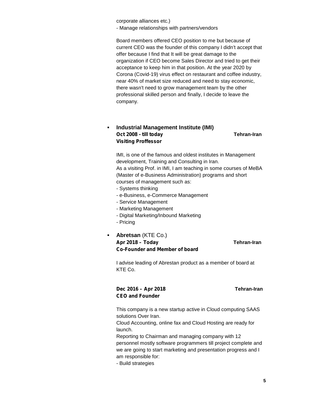corporate alliances etc.)

- Manage relationships with partners/vendors

Board members offered CEO position to me but because of current CEO was the founder of this company I didn't accept that offer because I find that It will be great damage to the organization if CEO become Sales Director and tried to get their acceptance to keep him in that position. At the year 2020 by Corona (Covid-19) virus effect on restaurant and coffee industry, near 40% of market size reduced and need to stay economic, there wasn't need to grow management team by the other professional skilled person and finally, I decide to leave the company.

### **Industrial Management Institute (IMI)** *Oct 2008 - till today* **Tehran-Iran** *Visiting Proffessor*

IMI, is one of the famous and oldest institutes in Management development, Training and Consulting in Iran. As a visiting Prof. in IMI, I am teaching in some courses of MeBA (Master of e-Business Administration) programs and short courses of management such as:

- Systems thinking
- e-Business, e-Commerce Management
- Service Management
- Marketing Management
- Digital Marketing/Inbound Marketing
- Pricing
- **Abretsan** (KTE Co.) *Apr 2018 – Today* **Tehran-Iran** *Co-Founder and Member of board*

I advise leading of Abrestan product as a member of board at KTE Co.

### *Dec 2016 – Apr 2018* **Tehran-Iran** *CEO and Founder*

This company is a new startup active in Cloud computing SAAS solutions Over Iran.

Cloud Accounting, online fax and Cloud Hosting are ready for launch.

Reporting to Chairman and managing company with 12 personnel mostly software programmers till project complete and we are going to start marketing and presentation progress and I am responsible for:

- Build strategies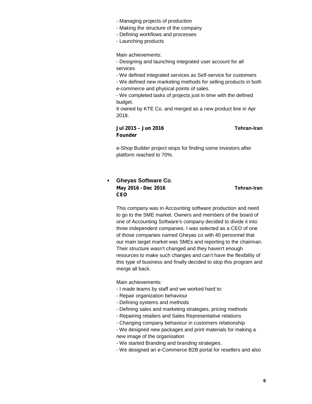- Managing projects of production
- Making the structure of the company
- Defining workflows and processes
- Launching products

Main achievements:

- Designing and launching integrated user account for all services

- We defined integrated services as Self-service for customers

- We defined new marketing methods for selling products in both e-commerce and physical points of sales.

- We completed tasks of projects just in time with the defined budget.

It owned by KTE Co. and merged as a new product line in Apr 2018.

### *Jul 2015 – Jun 2016* **Tehran-Iran** *Founder*

e-Shop Builder project stops for finding some investors after platform reached to 70%.

### **Gheyas Software Co**. *May 2016 –Dec 2016* **Tehran-Iran** *CEO*

This company was in Accounting software production and need to go to the SME market. Owners and members of the board of one of Accounting Software's company decided to divide it into three independent companies. I was selected as a CEO of one of those companies named Gheyas co with 40 personnel that our main target market was SMEs and reporting to the chairman. Their structure wasn't changed and they haven't enough resources to make such changes and can't have the flexibility of this type of business and finally decided to stop this program and merge all back.

Main achievements:

- I made teams by staff and we worked hard to:
- Repair organization behaviour
- Defining systems and methods
- Defining sales and marketing strategies, pricing methods
- Repairing retailers and Sales Representative relations
- Changing company behaviour in customers relationship
- We designed new packages and print materials for making a new image of the organisation
- We started Branding and branding strategies.
- We designed an e-Commerce B2B portal for resellers and also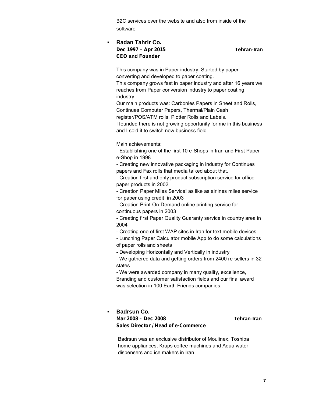B2C services over the website and also from inside of the software.

### **Radan Tahrir Co.** *Dec 1997 – Apr 2015* **Tehran-Iran** *CEO* **and** *Founder*

This company was in Paper industry. Started by paper converting and developed to paper coating. This company grows fast in paper industry and after 16 years we reaches from Paper conversion industry to paper coating industry.

Our main products was: Carbonles Papers in Sheet and Rolls,

Continues Computer Papers, Thermal/Plain Cash

register/POS/ATM rolls, Plotter Rolls and Labels.

I founded there is not growing opportunity for me in this business and I sold it to switch new business field.

Main achievements:

- Establishing one of the first 10 e-Shops in Iran and First Paper e-Shop in 1998

- Creating new innovative packaging in industry for Continues papers and Fax rolls that media talked about that.

- Creation first and only product subscription service for office paper products in 2002

- Creation Paper Miles Service! as like as airlines miles service for paper using credit in 2003

- Creation Print-On-Demand online printing service for continuous papers in 2003

- Creating first Paper Quality Guaranty service in country area in 2004

- Creating one of first WAP sites in Iran for text mobile devices

- Lunching Paper Calculator mobile App to do some calculations of paper rolls and sheets

- Developing Horizontally and Vertically in industry

- We gathered data and getting orders from 2400 re-sellers in 32 states.

- We were awarded company in many quality, excellence, Branding and customer satisfaction fields and our final award was selection in 100 Earth Friends companies.

### **Badrsun Co.** *Mar 2008 – Dec 2008* **Tehran-Iran** *Sales Director / Head of e-Commerce*

Badrsun was an exclusive distributor of Moulinex, Toshiba home appliances, Krups coffee machines and Aqua water dispensers and ice makers in Iran.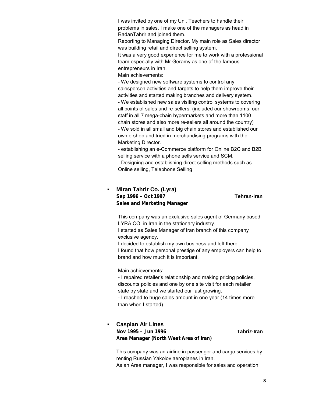I was invited by one of my Uni. Teachers to handle their problems in sales. I make one of the managers as head in RadanTahrir and joined them.

Reporting to Managing Director. My main role as Sales director was building retail and direct selling system.

It was a very good experience for me to work with a professional team especially with Mr Geramy as one of the famous entrepreneurs in Iran.

Main achievements:

- We designed new software systems to control any salesperson activities and targets to help them improve their activities and started making branches and delivery system. - We established new sales visiting control systems to covering all points of sales and re-sellers. (included our showrooms, our

staff in all 7 mega-chain hypermarkets and more than 1100 chain stores and also more re-sellers all around the country)

- We sold in all small and big chain stores and established our own e-shop and tried in merchandising programs with the Marketing Director.

- establishing an e-Commerce platform for Online B2C and B2B selling service with a phone sells service and SCM.

- Designing and establishing direct selling methods such as Online selling, Telephone Selling

### **Miran Tahrir Co. (Lyra)** *Sep 1996 – Oct 1997* **Tehran-Iran** *Sales and Marketing Manager*

This company was an exclusive sales agent of Germany based LYRA CO. in Iran in the stationary industry.

I started as Sales Manager of Iran branch of this company exclusive agency.

I decided to establish my own business and left there. I found that how personal prestige of any employers can help to brand and how much it is important.

Main achievements:

- I repaired retailer's relationship and making pricing policies, discounts policies and one by one site visit for each retailer state by state and we started our fast growing.

- I reached to huge sales amount in one year (14 times more than when I started).

### **Caspian Air Lines** *Nov 1995 – Jun 1996* **Tabriz-Iran** *Area Manager (North West Area of Iran)*

This company was an airline in passenger and cargo services by renting Russian Yakolov aeroplanes in Iran. As an Area manager, I was responsible for sales and operation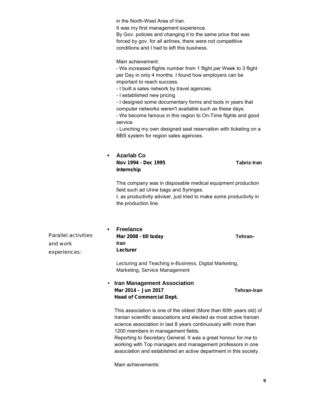in the North-West Area of Iran.

It was my first management experience.

By Gov. policies and changing it to the same price that was forced by gov. for all airlines, there were not competitive conditions and I had to left this business.

Main achievement:

- We increased flights number from 1 flight per Week to 3 flight per Day in only 4 months. I found how employers can be important to reach success.

- I built a sales network by travel agencies.
- I established new pricing

- I designed some documentary forms and tools in years that computer networks weren't available such as these days.

- We become famous in this region to On-Time flights and good service.

- Lunching my own designed seat reservation with ticketing on a BBS system for region sales agencies.

### **Azarlab Co** *Nov 1994 - Dec 1995* **Tabriz-Iran** *Internship*

This company was in disposable medical equipment production field such ad Urine bags and Syringes.

I, as productivity adviser, just tried to make some productivity in the production line.

Parallel activities and work experiences:

 **Freelance** *Mar 2008 - till today* **Tehran-Iran** *Lecturer*

Lecturing and Teaching e-Business, Digital Marketing, Marketing, Service Management

 **Iran Management Association** *Mar 2014 – Jun 2017* **Tehran-Iran** *Head of Commercial Dept.*

This association is one of the oldest (More than 60th years old) of Iranian scientific associations and elected as most active Iranian science association in last 8 years continuously with more than 1200 members in management fields.

Reporting to Secretary General. It was a great honour for me to working with Top managers and management professors in one association and established an active department in this society.

Main achievements: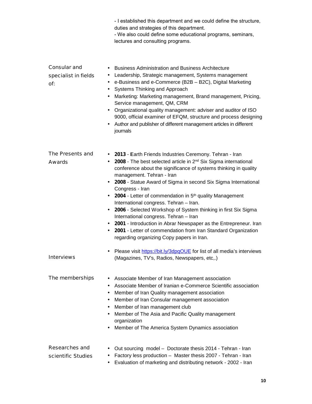|                                             | - I established this department and we could define the structure,<br>duties and strategies of this department.<br>- We also could define some educational programs, seminars,<br>lectures and consulting programs.                                                                                                                                                                                                                                                                                                                                                                                                                                                                                                                                                             |
|---------------------------------------------|---------------------------------------------------------------------------------------------------------------------------------------------------------------------------------------------------------------------------------------------------------------------------------------------------------------------------------------------------------------------------------------------------------------------------------------------------------------------------------------------------------------------------------------------------------------------------------------------------------------------------------------------------------------------------------------------------------------------------------------------------------------------------------|
| Consular and<br>specialist in fields<br>Of: | <b>Business Administration and Business Architecture</b><br>$\bullet$<br>Leadership, Strategic management, Systems management<br>$\bullet$<br>e-Business and e-Commerce (B2B - B2C), Digital Marketing<br>$\bullet$<br>Systems Thinking and Approach<br>٠<br>Marketing: Marketing management, Brand management, Pricing,<br>Service management, QM, CRM<br>Organizational quality management: adviser and auditor of ISO<br>9000, official examiner of EFQM, structure and process designing<br>Author and publisher of different management articles in different<br>$\bullet$<br>journals                                                                                                                                                                                     |
| The Presents and<br>Awards                  | • 2013 - Earth Friends Industries Ceremony. Tehran - Iran<br>• 2008 - The best selected article in 2 <sup>nd</sup> Six Sigma international<br>conference about the significance of systems thinking in quality<br>management. Tehran - Iran<br>• 2008 - Statue Award of Sigma in second Six Sigma International<br>Congress - Iran<br>2004 - Letter of commendation in 5 <sup>th</sup> quality Management<br>International congress. Tehran - Iran.<br>2006 - Selected Workshop of System thinking in first Six Sigma<br>$\bullet$<br>International congress. Tehran - Iran<br>2001 - Introduction in Abrar Newspaper as the Entrepreneur. Iran<br>٠<br>2001 - Letter of commendation from Iran Standard Organization<br>$\bullet$<br>regarding organizing Copy papers in Iran. |
| Interviews                                  | Please visit https://bit.ly/3dpqOUE for list of all media's interviews<br>(Magazines, TV's, Radios, Newspapers, etc,.)                                                                                                                                                                                                                                                                                                                                                                                                                                                                                                                                                                                                                                                          |
| The memberships                             | Associate Member of Iran Management association<br>٠<br>Associate Member of Iranian e-Commerce Scientific association<br>$\bullet$<br>Member of Iran Quality management association<br>٠<br>Member of Iran Consular management association<br>$\bullet$<br>Member of Iran management club<br>$\bullet$<br>Member of The Asia and Pacific Quality management<br>$\bullet$<br>organization<br>Member of The America System Dynamics association<br>٠                                                                                                                                                                                                                                                                                                                              |
| Researches and<br>scientific Studies        | Out sourcing model - Doctorate thesis 2014 - Tehran - Iran<br>$\bullet$<br>Factory less production - Master thesis 2007 - Tehran - Iran<br>٠<br>Evaluation of marketing and distributing network - 2002 - Iran<br>$\bullet$                                                                                                                                                                                                                                                                                                                                                                                                                                                                                                                                                     |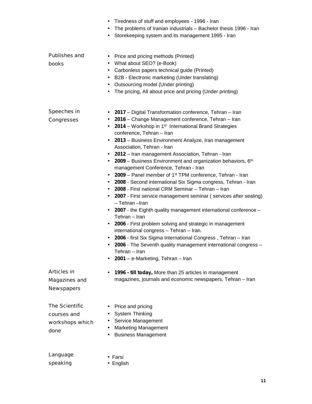|                                                          | Tiredness of stuff and employees - 1996 - Iran<br>The problems of Iranian industrials - Bachelor thesis 1996 - Iran<br>٠<br>Storekeeping system and its management 1995 - Iran<br>٠                                                                                                                                                                                                                                                                                                                                                                                                                                                                                                                                                                                                                                                                                                                                                                                                                                                                                                                                                                                                          |
|----------------------------------------------------------|----------------------------------------------------------------------------------------------------------------------------------------------------------------------------------------------------------------------------------------------------------------------------------------------------------------------------------------------------------------------------------------------------------------------------------------------------------------------------------------------------------------------------------------------------------------------------------------------------------------------------------------------------------------------------------------------------------------------------------------------------------------------------------------------------------------------------------------------------------------------------------------------------------------------------------------------------------------------------------------------------------------------------------------------------------------------------------------------------------------------------------------------------------------------------------------------|
| Publishes and<br>books                                   | Price and pricing methods (Printed)<br>$\bullet$<br>What about SEO? (e-Book)<br>٠<br>Carbonless papers technical guide (Printed)<br>$\bullet$<br>B2B - Electronic marketing (Under translating)<br>٠<br>Outsourcing model (Under printing)<br>٠<br>The pricing, All about price and pricing (Under printing)                                                                                                                                                                                                                                                                                                                                                                                                                                                                                                                                                                                                                                                                                                                                                                                                                                                                                 |
| Speeches in<br>Congresses                                | 2017 - Digital Transformation conference, Tehran - Iran<br>2016 – Change Management conference, Tehran – Iran<br>2014 – Workshop in 1 <sup>st</sup> International Brand Strategies<br>$\bullet$<br>conference, Tehran - Iran<br>2013 - Business Environment Analyze, Iran management<br>٠<br>Association, Tehran - Iran<br>2012 - Iran management Association, Tehran - Iran<br>$\bullet$<br>2009 - Business Environment and organization behaviors, 6th<br>management Conference, Tehran - Iran<br>2009 – Panel member of 1 <sup>st</sup> TPM conference, Tehran - Iran<br>٠<br>2008 - Second international Six Sigma congress, Tehran - Iran<br>٠<br>2008 - First national CRM Seminar - Tehran - Iran<br>2007 - First service management seminar (services after sealing)<br>٠<br>- Tehran - Iran<br>2007 - the Eighth quality management international conference -<br>Tehran – Iran<br>2006 - First problem solving and strategic in management<br>٠<br>international congress - Tehran - Iran.<br>2006 - first Six Sigma International Congress, Tehran - Iran<br>2006 - The Seventh quality management international congress -<br>Tehran – Iran<br>2001 - e-Marketing, Tehran - Iran |
| Articles in<br>Magazines and<br><b>Newspapers</b>        | 1996 - till today, More than 25 articles in management<br>magazines, journals and economic newspapers, Tehran - Iran                                                                                                                                                                                                                                                                                                                                                                                                                                                                                                                                                                                                                                                                                                                                                                                                                                                                                                                                                                                                                                                                         |
| The Scientific<br>courses and<br>workshops which<br>done | Price and pricing<br>$\bullet$<br>System Thinking<br>Service Management<br><b>Marketing Management</b><br>$\bullet$<br><b>Business Management</b>                                                                                                                                                                                                                                                                                                                                                                                                                                                                                                                                                                                                                                                                                                                                                                                                                                                                                                                                                                                                                                            |
| Language<br>speaking                                     | Farsi<br>English                                                                                                                                                                                                                                                                                                                                                                                                                                                                                                                                                                                                                                                                                                                                                                                                                                                                                                                                                                                                                                                                                                                                                                             |